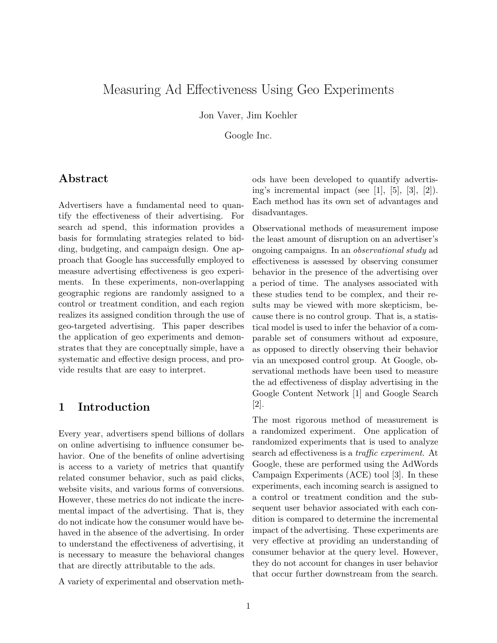# Measuring Ad Effectiveness Using Geo Experiments

Jon Vaver, Jim Koehler

Google Inc.

#### Abstract

Advertisers have a fundamental need to quantify the effectiveness of their advertising. For search ad spend, this information provides a basis for formulating strategies related to bidding, budgeting, and campaign design. One approach that Google has successfully employed to measure advertising effectiveness is geo experiments. In these experiments, non-overlapping geographic regions are randomly assigned to a control or treatment condition, and each region realizes its assigned condition through the use of geo-targeted advertising. This paper describes the application of geo experiments and demonstrates that they are conceptually simple, have a systematic and effective design process, and provide results that are easy to interpret.

#### 1 Introduction

Every year, advertisers spend billions of dollars on online advertising to influence consumer behavior. One of the benefits of online advertising is access to a variety of metrics that quantify related consumer behavior, such as paid clicks, website visits, and various forms of conversions. However, these metrics do not indicate the incremental impact of the advertising. That is, they do not indicate how the consumer would have behaved in the absence of the advertising. In order to understand the effectiveness of advertising, it is necessary to measure the behavioral changes that are directly attributable to the ads.

A variety of experimental and observation meth-

ods have been developed to quantify advertising's incremental impact (see [1], [5], [3], [2]). Each method has its own set of advantages and disadvantages.

Observational methods of measurement impose the least amount of disruption on an advertiser's ongoing campaigns. In an observational study ad effectiveness is assessed by observing consumer behavior in the presence of the advertising over a period of time. The analyses associated with these studies tend to be complex, and their results may be viewed with more skepticism, because there is no control group. That is, a statistical model is used to infer the behavior of a comparable set of consumers without ad exposure, as opposed to directly observing their behavior via an unexposed control group. At Google, observational methods have been used to measure the ad effectiveness of display advertising in the Google Content Network [1] and Google Search  $|2|$ .

The most rigorous method of measurement is a randomized experiment. One application of randomized experiments that is used to analyze search ad effectiveness is a traffic experiment. At Google, these are performed using the AdWords Campaign Experiments (ACE) tool [3]. In these experiments, each incoming search is assigned to a control or treatment condition and the subsequent user behavior associated with each condition is compared to determine the incremental impact of the advertising. These experiments are very effective at providing an understanding of consumer behavior at the query level. However, they do not account for changes in user behavior that occur further downstream from the search.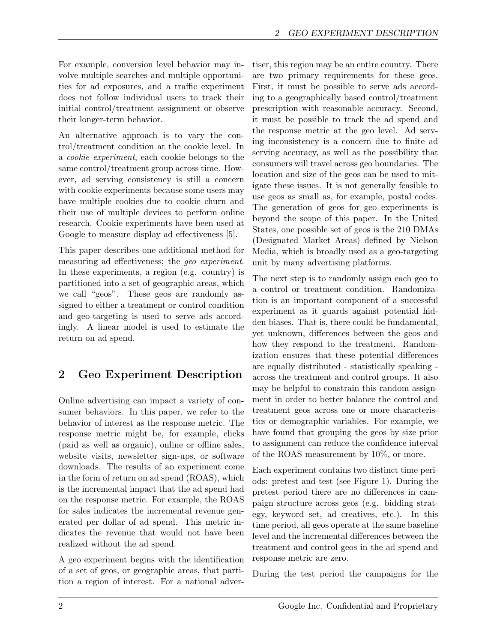For example, conversion level behavior may involve multiple searches and multiple opportunities for ad exposures, and a traffic experiment does not follow individual users to track their initial control/treatment assignment or observe their longer-term behavior.

An alternative approach is to vary the control/treatment condition at the cookie level. In a cookie experiment, each cookie belongs to the same control/treatment group across time. However, ad serving consistency is still a concern with cookie experiments because some users may have multiple cookies due to cookie churn and their use of multiple devices to perform online research. Cookie experiments have been used at Google to measure display ad effectiveness [5].

This paper describes one additional method for measuring ad effectiveness; the geo experiment. In these experiments, a region (e.g. country) is partitioned into a set of geographic areas, which we call "geos". These geos are randomly assigned to either a treatment or control condition and geo-targeting is used to serve ads accordingly. A linear model is used to estimate the return on ad spend.

# 2 Geo Experiment Description

Online advertising can impact a variety of consumer behaviors. In this paper, we refer to the behavior of interest as the response metric. The response metric might be, for example, clicks (paid as well as organic), online or offline sales, website visits, newsletter sign-ups, or software downloads. The results of an experiment come in the form of return on ad spend (ROAS), which is the incremental impact that the ad spend had on the response metric. For example, the ROAS for sales indicates the incremental revenue generated per dollar of ad spend. This metric indicates the revenue that would not have been realized without the ad spend.

A geo experiment begins with the identification of a set of geos, or geographic areas, that partition a region of interest. For a national advertiser, this region may be an entire country. There are two primary requirements for these geos. First, it must be possible to serve ads according to a geographically based control/treatment prescription with reasonable accuracy. Second, it must be possible to track the ad spend and the response metric at the geo level. Ad serving inconsistency is a concern due to finite ad serving accuracy, as well as the possibility that consumers will travel across geo boundaries. The location and size of the geos can be used to mitigate these issues. It is not generally feasible to use geos as small as, for example, postal codes. The generation of geos for geo experiments is beyond the scope of this paper. In the United States, one possible set of geos is the 210 DMAs (Designated Market Areas) defined by Nielson Media, which is broadly used as a geo-targeting unit by many advertising platforms.

The next step is to randomly assign each geo to a control or treatment condition. Randomization is an important component of a successful experiment as it guards against potential hidden biases. That is, there could be fundamental, yet unknown, differences between the geos and how they respond to the treatment. Randomization ensures that these potential differences are equally distributed - statistically speaking across the treatment and control groups. It also may be helpful to constrain this random assignment in order to better balance the control and treatment geos across one or more characteristics or demographic variables. For example, we have found that grouping the geos by size prior to assignment can reduce the confidence interval of the ROAS measurement by 10%, or more.

Each experiment contains two distinct time periods: pretest and test (see Figure 1). During the pretest period there are no differences in campaign structure across geos (e.g. bidding strategy, keyword set, ad creatives, etc.). In this time period, all geos operate at the same baseline level and the incremental differences between the treatment and control geos in the ad spend and response metric are zero.

During the test period the campaigns for the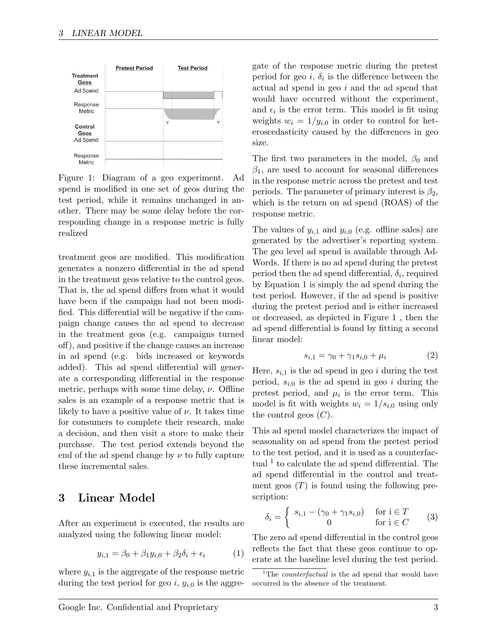

Figure 1: Diagram of a geo experiment. Ad spend is modified in one set of geos during the test period, while it remains unchanged in another. There may be some delay before the corresponding change in a response metric is fully realized

treatment geos are modified. This modification generates a nonzero differential in the ad spend in the treatment geos relative to the control geos. That is, the ad spend differs from what it would have been if the campaign had not been modified. This differential will be negative if the campaign change causes the ad spend to decrease in the treatment geos (e.g. campaigns turned off), and positive if the change causes an increase in ad spend (e.g. bids increased or keywords added). This ad spend differential will generate a corresponding differential in the response metric, perhaps with some time delay,  $\nu$ . Offline sales is an example of a response metric that is likely to have a positive value of  $\nu$ . It takes time for consumers to complete their research, make a decision, and then visit a store to make their purchase. The test period extends beyond the end of the ad spend change by  $\nu$  to fully capture these incremental sales.

#### 3 Linear Model

After an experiment is executed, the results are analyzed using the following linear model:

$$
y_{i,1} = \beta_0 + \beta_1 y_{i,0} + \beta_2 \delta_i + \epsilon_i \tag{1}
$$

where  $y_{i,1}$  is the aggregate of the response metric during the test period for geo i,  $y_{i,0}$  is the aggregate of the response metric during the pretest period for geo  $i, \delta_i$  is the difference between the actual ad spend in geo i and the ad spend that would have occurred without the experiment, and  $\epsilon_i$  is the error term. This model is fit using weights  $w_i = 1/y_{i,0}$  in order to control for heteroscedasticity caused by the differences in geo size.

The first two parameters in the model,  $\beta_0$  and  $\beta_1$ , are used to account for seasonal differences in the response metric across the pretest and test periods. The parameter of primary interest is  $\beta_2$ , which is the return on ad spend (ROAS) of the response metric.

The values of  $y_{i,1}$  and  $y_{i,0}$  (e.g. offline sales) are generated by the advertiser's reporting system. The geo level ad spend is available through Ad-Words. If there is no ad spend during the pretest period then the ad spend differential,  $\delta_i$ , required by Equation 1 is simply the ad spend during the test period. However, if the ad spend is positive during the pretest period and is either increased or decreased, as depicted in Figure 1 , then the ad spend differential is found by fitting a second linear model:

$$
s_{i,1} = \gamma_0 + \gamma_1 s_{i,0} + \mu_i \tag{2}
$$

Here,  $s_{i,1}$  is the ad spend in geo i during the test period,  $s_{i,0}$  is the ad spend in geo i during the pretest period, and  $\mu_i$  is the error term. This model is fit with weights  $w_i = 1/s_{i,0}$  using only the control geos  $(C)$ .

This ad spend model characterizes the impact of seasonality on ad spend from the pretest period to the test period, and it is used as a counterfactual<sup>1</sup> to calculate the ad spend differential. The ad spend differential in the control and treatment geos  $(T)$  is found using the following prescription:

$$
\delta_i = \begin{cases} s_{i,1} - (\gamma_0 + \gamma_1 s_{i,0}) & \text{for } i \in T \\ 0 & \text{for } i \in C \end{cases} \tag{3}
$$

The zero ad spend differential in the control geos reflects the fact that these geos continue to operate at the baseline level during the test period.

<sup>&</sup>lt;sup>1</sup>The *counterfactual* is the ad spend that would have occurred in the absence of the treatment.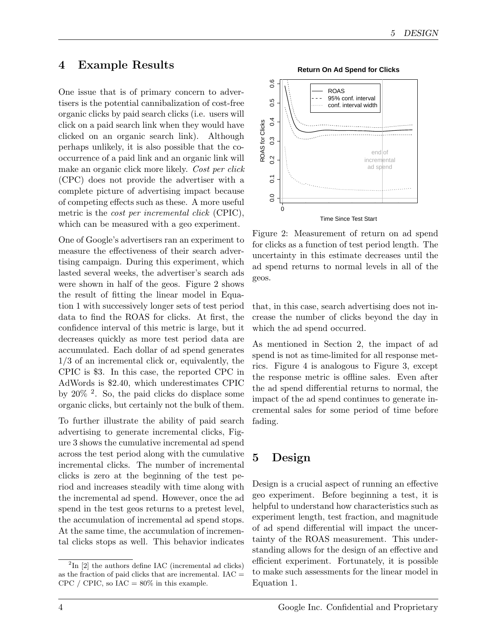### 4 Example Results

One issue that is of primary concern to advertisers is the potential cannibalization of cost-free organic clicks by paid search clicks (i.e. users will click on a paid search link when they would have clicked on an organic search link). Although perhaps unlikely, it is also possible that the cooccurrence of a paid link and an organic link will make an organic click more likely. Cost per click (CPC) does not provide the advertiser with a complete picture of advertising impact because of competing effects such as these. A more useful metric is the *cost per incremental click* (CPIC), which can be measured with a geo experiment.

One of Google's advertisers ran an experiment to measure the effectiveness of their search advertising campaign. During this experiment, which lasted several weeks, the advertiser's search ads were shown in half of the geos. Figure 2 shows the result of fitting the linear model in Equation 1 with successively longer sets of test period data to find the ROAS for clicks. At first, the confidence interval of this metric is large, but it decreases quickly as more test period data are accumulated. Each dollar of ad spend generates 1/3 of an incremental click or, equivalently, the CPIC is \$3. In this case, the reported CPC in AdWords is \$2.40, which underestimates CPIC by 20% <sup>2</sup> . So, the paid clicks do displace some organic clicks, but certainly not the bulk of them.

To further illustrate the ability of paid search advertising to generate incremental clicks, Figure 3 shows the cumulative incremental ad spend across the test period along with the cumulative incremental clicks. The number of incremental clicks is zero at the beginning of the test period and increases steadily with time along with the incremental ad spend. However, once the ad spend in the test geos returns to a pretest level, the accumulation of incremental ad spend stops. At the same time, the accumulation of incremental clicks stops as well. This behavior indicates



Figure 2: Measurement of return on ad spend for clicks as a function of test period length. The uncertainty in this estimate decreases until the ad spend returns to normal levels in all of the geos.

that, in this case, search advertising does not increase the number of clicks beyond the day in which the ad spend occurred.

As mentioned in Section 2, the impact of ad spend is not as time-limited for all response metrics. Figure 4 is analogous to Figure 3, except the response metric is offline sales. Even after the ad spend differential returns to normal, the impact of the ad spend continues to generate incremental sales for some period of time before fading.

## 5 Design

Design is a crucial aspect of running an effective geo experiment. Before beginning a test, it is helpful to understand how characteristics such as experiment length, test fraction, and magnitude of ad spend differential will impact the uncertainty of the ROAS measurement. This understanding allows for the design of an effective and efficient experiment. Fortunately, it is possible to make such assessments for the linear model in Equation 1.

 $2\text{In}$  [2] the authors define IAC (incremental ad clicks) as the fraction of paid clicks that are incremental. IAC = CPC / CPIC, so  $IAC = 80\%$  in this example.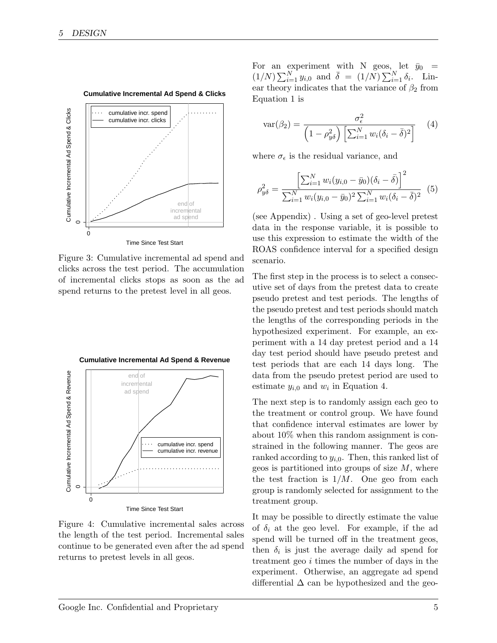

**Cumulative Incremental Ad Spend & Clicks**

Figure 3: Cumulative incremental ad spend and clicks across the test period. The accumulation of incremental clicks stops as soon as the ad spend returns to the pretest level in all geos.



Time Since Test Start

Figure 4: Cumulative incremental sales across the length of the test period. Incremental sales continue to be generated even after the ad spend returns to pretest levels in all geos.

For an experiment with N geos, let  $\bar{y}_0$  =  $(1/N)\sum_{i=1}^{N} y_{i,0}$  and  $\bar{\delta} = (1/N)\sum_{i=1}^{N} \delta_i$ . Linear theory indicates that the variance of  $\beta_2$  from Equation 1 is

$$
var(\beta_2) = \frac{\sigma_{\epsilon}^2}{\left(1 - \rho_{y\delta}^2\right) \left[\sum_{i=1}^N w_i (\delta_i - \bar{\delta})^2\right]} \tag{4}
$$

where  $\sigma_{\epsilon}$  is the residual variance, and

$$
\rho_{y\delta}^2 = \frac{\left[\sum_{i=1}^N w_i (y_{i,0} - \bar{y}_0)(\delta_i - \bar{\delta})\right]^2}{\sum_{i=1}^N w_i (y_{i,0} - \bar{y}_0)^2 \sum_{i=1}^N w_i (\delta_i - \bar{\delta})^2}
$$
(5)

(see Appendix) . Using a set of geo-level pretest data in the response variable, it is possible to use this expression to estimate the width of the ROAS confidence interval for a specified design scenario.

The first step in the process is to select a consecutive set of days from the pretest data to create pseudo pretest and test periods. The lengths of the pseudo pretest and test periods should match the lengths of the corresponding periods in the hypothesized experiment. For example, an experiment with a 14 day pretest period and a 14 day test period should have pseudo pretest and test periods that are each 14 days long. The data from the pseudo pretest period are used to estimate  $y_{i,0}$  and  $w_i$  in Equation 4.

The next step is to randomly assign each geo to the treatment or control group. We have found that confidence interval estimates are lower by about 10% when this random assignment is constrained in the following manner. The geos are ranked according to  $y_{i,0}$ . Then, this ranked list of geos is partitioned into groups of size  $M$ , where the test fraction is  $1/M$ . One geo from each group is randomly selected for assignment to the treatment group.

It may be possible to directly estimate the value of  $\delta_i$  at the geo level. For example, if the ad spend will be turned off in the treatment geos, then  $\delta_i$  is just the average daily ad spend for treatment geo i times the number of days in the experiment. Otherwise, an aggregate ad spend differential  $\Delta$  can be hypothesized and the geo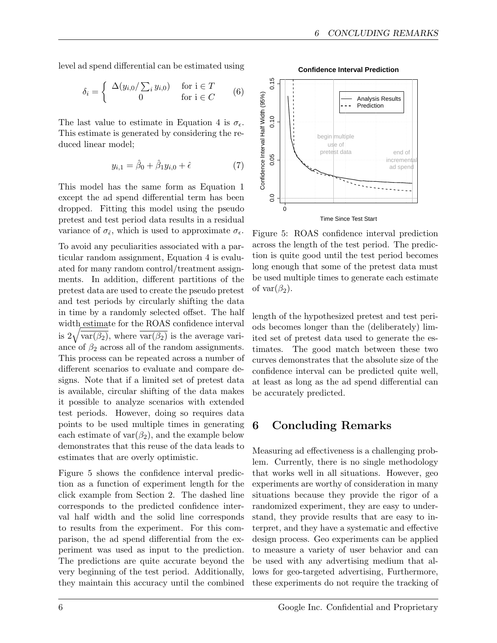level ad spend differential can be estimated using

$$
\delta_i = \begin{cases} \Delta(y_{i,0} / \sum_i y_{i,0}) & \text{for } i \in T \\ 0 & \text{for } i \in C \end{cases}
$$
 (6)

The last value to estimate in Equation 4 is  $\sigma_{\epsilon}$ . This estimate is generated by considering the reduced linear model;

$$
y_{i,1} = \hat{\beta}_0 + \hat{\beta}_1 y_{i,0} + \hat{\epsilon}
$$
 (7)

This model has the same form as Equation 1 except the ad spend differential term has been dropped. Fitting this model using the pseudo pretest and test period data results in a residual variance of  $\sigma_{\hat{\epsilon}}$ , which is used to approximate  $\sigma_{\epsilon}$ .

To avoid any peculiarities associated with a particular random assignment, Equation 4 is evaluated for many random control/treatment assignments. In addition, different partitions of the pretest data are used to create the pseudo pretest and test periods by circularly shifting the data in time by a randomly selected offset. The half width estimate for the ROAS confidence interval is  $2\sqrt{\overline{\text{var}(\beta_2)}},$  where  $\overline{\text{var}(\beta_2)}$  is the average variance of  $\beta_2$  across all of the random assignments. This process can be repeated across a number of different scenarios to evaluate and compare designs. Note that if a limited set of pretest data is available, circular shifting of the data makes it possible to analyze scenarios with extended test periods. However, doing so requires data points to be used multiple times in generating each estimate of  $var(\beta_2)$ , and the example below demonstrates that this reuse of the data leads to estimates that are overly optimistic.

Figure 5 shows the confidence interval prediction as a function of experiment length for the click example from Section 2. The dashed line corresponds to the predicted confidence interval half width and the solid line corresponds to results from the experiment. For this comparison, the ad spend differential from the experiment was used as input to the prediction. The predictions are quite accurate beyond the very beginning of the test period. Additionally, they maintain this accuracy until the combined

 $0.15$ 0.00 0.05 0.10 0.15 Confidence Interval Half Width (95%) Confidence Interval Half Width (95%) Analysis Results Prediction  $0.10$ begin multiple use of pretest data pretest data end of<br>
pretest data end of<br>
incremer<br>
ad spen<br>
o<br>
o<br>
o<br>
o<br>  $\overbrace{a}$ incremen ad spen  $0$ Time Since Test Start

**Confidence Interval Prediction**

Figure 5: ROAS confidence interval prediction across the length of the test period. The prediction is quite good until the test period becomes long enough that some of the pretest data must be used multiple times to generate each estimate of var $(\beta_2)$ .

length of the hypothesized pretest and test periods becomes longer than the (deliberately) limited set of pretest data used to generate the estimates. The good match between these two curves demonstrates that the absolute size of the confidence interval can be predicted quite well, at least as long as the ad spend differential can be accurately predicted.

## 6 Concluding Remarks

Measuring ad effectiveness is a challenging problem. Currently, there is no single methodology that works well in all situations. However, geo experiments are worthy of consideration in many situations because they provide the rigor of a randomized experiment, they are easy to understand, they provide results that are easy to interpret, and they have a systematic and effective design process. Geo experiments can be applied to measure a variety of user behavior and can be used with any advertising medium that allows for geo-targeted advertising, Furthermore, these experiments do not require the tracking of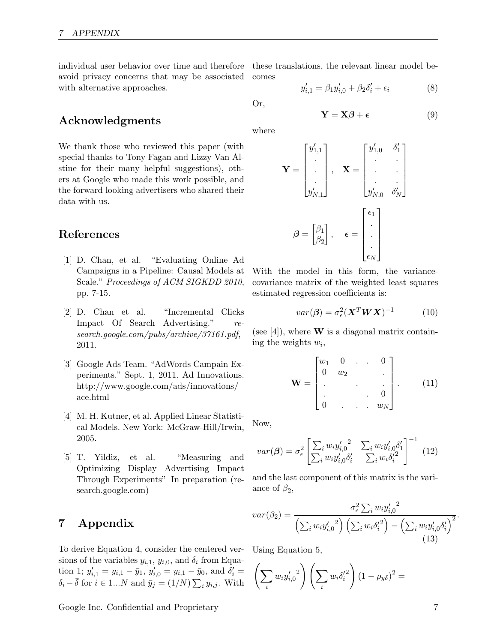individual user behavior over time and therefore these translations, the relevant linear model beavoid privacy concerns that may be associated with alternative approaches.

comes

$$
y'_{i,1} = \beta_1 y'_{i,0} + \beta_2 \delta'_i + \epsilon_i \tag{8}
$$

Or,

$$
\mathbf{Y} = \mathbf{X}\boldsymbol{\beta} + \boldsymbol{\epsilon} \tag{9}
$$

Acknowledgments

We thank those who reviewed this paper (with special thanks to Tony Fagan and Lizzy Van Alstine for their many helpful suggestions), others at Google who made this work possible, and the forward looking advertisers who shared their data with us.

### References

- [1] D. Chan, et al. "Evaluating Online Ad Campaigns in a Pipeline: Causal Models at Scale." Proceedings of ACM SIGKDD 2010, pp. 7-15.
- [2] D. Chan et al. "Incremental Clicks Impact Of Search Advertising." research.google.com/pubs/archive/37161.pdf, 2011.
- [3] Google Ads Team. "AdWords Campain Experiments." Sept. 1, 2011. Ad Innovations. http://www.google.com/ads/innovations/ ace.html
- [4] M. H. Kutner, et al. Applied Linear Statistical Models. New York: McGraw-Hill/Irwin, 2005.
- [5] T. Yildiz, et al. "Measuring and Optimizing Display Advertising Impact Through Experiments" In preparation (research.google.com)

## 7 Appendix

To derive Equation 4, consider the centered versions of the variables  $y_{i,1}$ ,  $y_{i,0}$ , and  $\delta_i$  from Equation 1;  $y'_{i,1} = y_{i,1} - \bar{y}_1$ ,  $y'_{i,0} = y_{i,1} - \bar{y}_0$ , and  $\delta'_i =$  $\delta_i - \overline{\delta}$  for  $i \in 1...N$  and  $\overline{y}_j = (1/N) \sum_i y_{i,j}$ . With

where

$$
\mathbf{Y} = \begin{bmatrix} y'_{1,1} \\ \cdot \\ \cdot \\ y'_{N,1} \end{bmatrix}, \quad \mathbf{X} = \begin{bmatrix} y'_{1,0} & \delta'_1 \\ \cdot & \cdot \\ \cdot & \cdot \\ y'_{N,0} & \delta'_N \end{bmatrix}
$$

$$
\boldsymbol{\beta} = \begin{bmatrix} \beta_1 \\ \beta_2 \end{bmatrix}, \quad \boldsymbol{\epsilon} = \begin{bmatrix} \epsilon_1 \\ \cdot \\ \cdot \\ \epsilon_N \end{bmatrix}
$$

With the model in this form, the variancecovariance matrix of the weighted least squares estimated regression coefficients is:

$$
var(\boldsymbol{\beta}) = \sigma_{\epsilon}^2 (\boldsymbol{X}^T \boldsymbol{W} \boldsymbol{X})^{-1}
$$
 (10)

(see [4]), where  $W$  is a diagonal matrix containing the weights  $w_i$ ,

$$
\mathbf{W} = \begin{bmatrix} w_1 & 0 & \cdots & 0 \\ 0 & w_2 & & \cdot \\ \cdot & \cdot & \cdot & \cdot \\ 0 & \cdots & \cdot & w_N \end{bmatrix} . \qquad (11)
$$

Now,

$$
var(\boldsymbol{\beta}) = \sigma_{\epsilon}^2 \left[ \frac{\sum_i w_i y_{i,0}'^2}{\sum_i w_i y_{i,0}' \delta_i'} \frac{\sum_i w_i y_{i,0}' \delta_1'}{\sum_i w_i \delta_i'^2} \right]^{-1}
$$
(12)

and the last component of this matrix is the variance of  $\beta_2$ ,

$$
var(\beta_2) = \frac{\sigma_\epsilon^2 \sum_i w_i y_{i,0}'^2}{\left(\sum_i w_i y_{i,0}'^2\right) \left(\sum_i w_i \delta_i'^2\right) - \left(\sum_i w_i y_{i,0}' \delta_i'\right)^2}.
$$
\n(13)

Using Equation 5,

$$
\left(\sum_i w_i y_{i,0}'^2\right) \left(\sum_i w_i \delta_i'^2\right) (1 - \rho_{y\delta})^2 =
$$